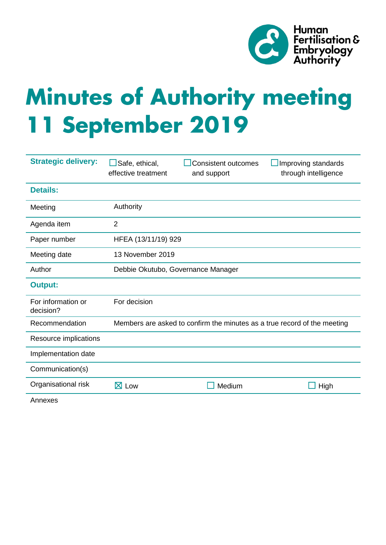

# **Minutes of Authority meeting 11 September 2019**

| <b>Strategic delivery:</b>      | Safe, ethical,<br>effective treatment                                    | <b>Consistent outcomes</b><br>and support | Improving standards<br>through intelligence |
|---------------------------------|--------------------------------------------------------------------------|-------------------------------------------|---------------------------------------------|
| <b>Details:</b>                 |                                                                          |                                           |                                             |
| Meeting                         | Authority                                                                |                                           |                                             |
| Agenda item                     | $\overline{2}$                                                           |                                           |                                             |
| Paper number                    | HFEA (13/11/19) 929                                                      |                                           |                                             |
| Meeting date                    | 13 November 2019                                                         |                                           |                                             |
| Author                          | Debbie Okutubo, Governance Manager                                       |                                           |                                             |
| <b>Output:</b>                  |                                                                          |                                           |                                             |
| For information or<br>decision? | For decision                                                             |                                           |                                             |
| Recommendation                  | Members are asked to confirm the minutes as a true record of the meeting |                                           |                                             |
| Resource implications           |                                                                          |                                           |                                             |
| Implementation date             |                                                                          |                                           |                                             |
| Communication(s)                |                                                                          |                                           |                                             |
| Organisational risk             | $\boxtimes$ Low                                                          | Medium                                    | High                                        |

Annexes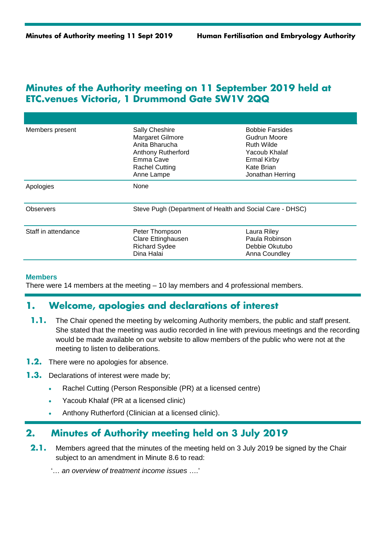## **Minutes of the Authority meeting on 11 September 2019 held at ETC.venues Victoria, 1 Drummond Gate SW1V 2QQ**

| Members present     | Sally Cheshire<br>Margaret Gilmore<br>Anita Bharucha<br><b>Anthony Rutherford</b><br>Emma Cave<br><b>Rachel Cutting</b><br>Anne Lampe | <b>Bobbie Farsides</b><br>Gudrun Moore<br>Ruth Wilde<br>Yacoub Khalaf<br>Ermal Kirby<br>Kate Brian<br>Jonathan Herring |
|---------------------|---------------------------------------------------------------------------------------------------------------------------------------|------------------------------------------------------------------------------------------------------------------------|
| Apologies           | None                                                                                                                                  |                                                                                                                        |
| Observers           | Steve Pugh (Department of Health and Social Care - DHSC)                                                                              |                                                                                                                        |
| Staff in attendance | Peter Thompson<br>Clare Ettinghausen<br><b>Richard Sydee</b><br>Dina Halai                                                            | Laura Riley<br>Paula Robinson<br>Debbie Okutubo<br>Anna Coundley                                                       |

#### **Members**

There were 14 members at the meeting – 10 lay members and 4 professional members.

## **1. Welcome, apologies and declarations of interest**

- **1.1.** The Chair opened the meeting by welcoming Authority members, the public and staff present. She stated that the meeting was audio recorded in line with previous meetings and the recording would be made available on our website to allow members of the public who were not at the meeting to listen to deliberations.
- **1.2.** There were no apologies for absence.
- **1.3.** Declarations of interest were made by;
	- Rachel Cutting (Person Responsible (PR) at a licensed centre)
	- Yacoub Khalaf (PR at a licensed clinic)
	- Anthony Rutherford (Clinician at a licensed clinic).

## **2. Minutes of Authority meeting held on 3 July 2019**

**2.1.** Members agreed that the minutes of the meeting held on 3 July 2019 be signed by the Chair subject to an amendment in Minute 8.6 to read:

'… *an overview of treatment income issues* ….'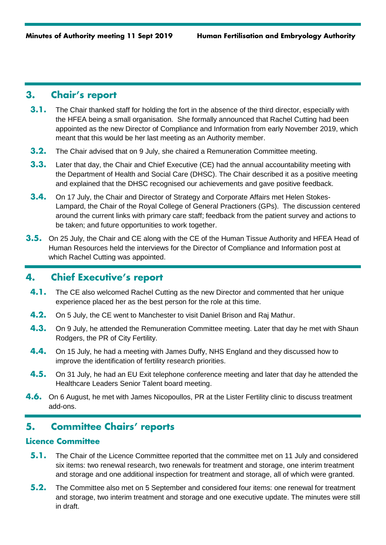## **3. Chair's report**

- **3.1.** The Chair thanked staff for holding the fort in the absence of the third director, especially with the HFEA being a small organisation. She formally announced that Rachel Cutting had been appointed as the new Director of Compliance and Information from early November 2019, which meant that this would be her last meeting as an Authority member.
- **3.2.** The Chair advised that on 9 July, she chaired a Remuneration Committee meeting.
- **3.3.** Later that day, the Chair and Chief Executive (CE) had the annual accountability meeting with the Department of Health and Social Care (DHSC). The Chair described it as a positive meeting and explained that the DHSC recognised our achievements and gave positive feedback.
- **3.4.** On 17 July, the Chair and Director of Strategy and Corporate Affairs met Helen Stokes-Lampard, the Chair of the Royal College of General Practioners (GPs). The discussion centered around the current links with primary care staff; feedback from the patient survey and actions to be taken; and future opportunities to work together.
- **3.5.** On 25 July, the Chair and CE along with the CE of the Human Tissue Authority and HFEA Head of Human Resources held the interviews for the Director of Compliance and Information post at which Rachel Cutting was appointed.

# **4. Chief Executive's report**

- **4.1.** The CE also welcomed Rachel Cutting as the new Director and commented that her unique experience placed her as the best person for the role at this time.
- **4.2.** On 5 July, the CE went to Manchester to visit Daniel Brison and Raj Mathur.
- **4.3.** On 9 July, he attended the Remuneration Committee meeting. Later that day he met with Shaun Rodgers, the PR of City Fertility.
- **4.4.** On 15 July, he had a meeting with James Duffy, NHS England and they discussed how to improve the identification of fertility research priorities.
- **4.5.** On 31 July, he had an EU Exit telephone conference meeting and later that day he attended the Healthcare Leaders Senior Talent board meeting.
- **4.6.** On 6 August, he met with James Nicopoullos, PR at the Lister Fertility clinic to discuss treatment add-ons.

# **5. Committee Chairs' reports**

## **Licence Committee**

- **5.1.** The Chair of the Licence Committee reported that the committee met on 11 July and considered six items: two renewal research, two renewals for treatment and storage, one interim treatment and storage and one additional inspection for treatment and storage, all of which were granted.
- **5.2.** The Committee also met on 5 September and considered four items: one renewal for treatment and storage, two interim treatment and storage and one executive update. The minutes were still in draft.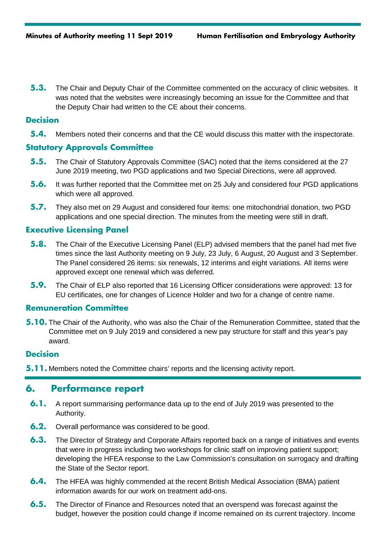**5.3.** The Chair and Deputy Chair of the Committee commented on the accuracy of clinic websites. It was noted that the websites were increasingly becoming an issue for the Committee and that the Deputy Chair had written to the CE about their concerns.

## **Decision**

**5.4.** Members noted their concerns and that the CE would discuss this matter with the inspectorate.

## **Statutory Approvals Committee**

- **5.5.** The Chair of Statutory Approvals Committee (SAC) noted that the items considered at the 27 June 2019 meeting, two PGD applications and two Special Directions, were all approved.
- **5.6.** It was further reported that the Committee met on 25 July and considered four PGD applications which were all approved.
- **5.7.** They also met on 29 August and considered four items: one mitochondrial donation, two PGD applications and one special direction. The minutes from the meeting were still in draft.

#### **Executive Licensing Panel**

- **5.8.** The Chair of the Executive Licensing Panel (ELP) advised members that the panel had met five times since the last Authority meeting on 9 July, 23 July, 6 August, 20 August and 3 September. The Panel considered 26 items: six renewals, 12 interims and eight variations. All items were approved except one renewal which was deferred.
- **5.9.** The Chair of ELP also reported that 16 Licensing Officer considerations were approved: 13 for EU certificates, one for changes of Licence Holder and two for a change of centre name.

#### **Remuneration Committee**

**5.10.** The Chair of the Authority, who was also the Chair of the Remuneration Committee, stated that the Committee met on 9 July 2019 and considered a new pay structure for staff and this year's pay award.

#### **Decision**

**5.11.** Members noted the Committee chairs' reports and the licensing activity report.

## **6. Performance report**

- **6.1.** A report summarising performance data up to the end of July 2019 was presented to the Authority.
- **6.2.** Overall performance was considered to be good.
- **6.3.** The Director of Strategy and Corporate Affairs reported back on a range of initiatives and events that were in progress including two workshops for clinic staff on improving patient support; developing the HFEA response to the Law Commission's consultation on surrogacy and drafting the State of the Sector report.
- **6.4.** The HFEA was highly commended at the recent British Medical Association (BMA) patient information awards for our work on treatment add-ons.
- **6.5.** The Director of Finance and Resources noted that an overspend was forecast against the budget, however the position could change if income remained on its current trajectory. Income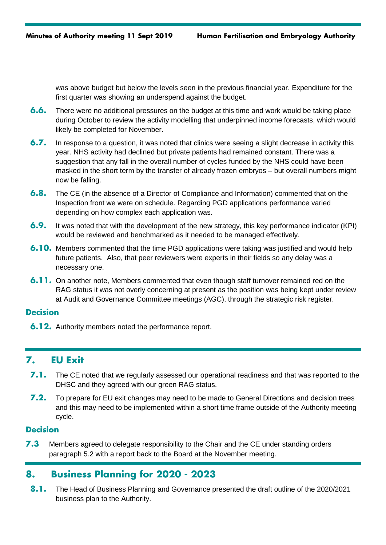was above budget but below the levels seen in the previous financial year. Expenditure for the first quarter was showing an underspend against the budget.

- **6.6.** There were no additional pressures on the budget at this time and work would be taking place during October to review the activity modelling that underpinned income forecasts, which would likely be completed for November.
- **6.7.** In response to a question, it was noted that clinics were seeing a slight decrease in activity this year. NHS activity had declined but private patients had remained constant. There was a suggestion that any fall in the overall number of cycles funded by the NHS could have been masked in the short term by the transfer of already frozen embryos – but overall numbers might now be falling.
- **6.8.** The CE (in the absence of a Director of Compliance and Information) commented that on the Inspection front we were on schedule. Regarding PGD applications performance varied depending on how complex each application was.
- **6.9.** It was noted that with the development of the new strategy, this key performance indicator (KPI) would be reviewed and benchmarked as it needed to be managed effectively.
- **6.10.** Members commented that the time PGD applications were taking was justified and would help future patients. Also, that peer reviewers were experts in their fields so any delay was a necessary one.
- **6.11.** On another note, Members commented that even though staff turnover remained red on the RAG status it was not overly concerning at present as the position was being kept under review at Audit and Governance Committee meetings (AGC), through the strategic risk register.

## **Decision**

**6.12.** Authority members noted the performance report.

# **7. EU Exit**

- **7.1.** The CE noted that we regularly assessed our operational readiness and that was reported to the DHSC and they agreed with our green RAG status.
- **7.2.** To prepare for EU exit changes may need to be made to General Directions and decision trees and this may need to be implemented within a short time frame outside of the Authority meeting cycle.

## **Decision**

**7.3** Members agreed to delegate responsibility to the Chair and the CE under standing orders paragraph 5.2 with a report back to the Board at the November meeting.

# **8. Business Planning for 2020 - 2023**

**8.1.** The Head of Business Planning and Governance presented the draft outline of the 2020/2021 business plan to the Authority.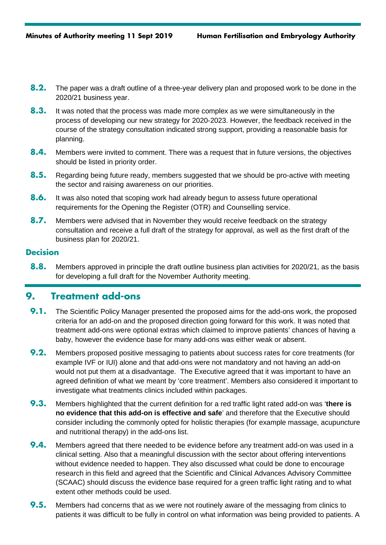- **8.2.** The paper was a draft outline of a three-year delivery plan and proposed work to be done in the 2020/21 business year.
- **8.3.** It was noted that the process was made more complex as we were simultaneously in the process of developing our new strategy for 2020-2023. However, the feedback received in the course of the strategy consultation indicated strong support, providing a reasonable basis for planning.
- **8.4.** Members were invited to comment. There was a request that in future versions, the objectives should be listed in priority order.
- **8.5.** Regarding being future ready, members suggested that we should be pro-active with meeting the sector and raising awareness on our priorities.
- **8.6.** It was also noted that scoping work had already begun to assess future operational requirements for the Opening the Register (OTR) and Counselling service.
- **8.7.** Members were advised that in November they would receive feedback on the strategy consultation and receive a full draft of the strategy for approval, as well as the first draft of the business plan for 2020/21.

## **Decision**

**8.8.** Members approved in principle the draft outline business plan activities for 2020/21, as the basis for developing a full draft for the November Authority meeting.

## **9. Treatment add-ons**

- **9.1.** The Scientific Policy Manager presented the proposed aims for the add-ons work, the proposed criteria for an add-on and the proposed direction going forward for this work. It was noted that treatment add-ons were optional extras which claimed to improve patients' chances of having a baby, however the evidence base for many add-ons was either weak or absent.
- **9.2.** Members proposed positive messaging to patients about success rates for core treatments (for example IVF or IUI) alone and that add-ons were not mandatory and not having an add-on would not put them at a disadvantage. The Executive agreed that it was important to have an agreed definition of what we meant by 'core treatment'. Members also considered it important to investigate what treatments clinics included within packages.
- **9.3.** Members highlighted that the current definition for a red traffic light rated add-on was '**there is no evidence that this add-on is effective and safe**' and therefore that the Executive should consider including the commonly opted for holistic therapies (for example massage, acupuncture and nutritional therapy) in the add-ons list.
- **9.4.** Members agreed that there needed to be evidence before any treatment add-on was used in a clinical setting. Also that a meaningful discussion with the sector about offering interventions without evidence needed to happen. They also discussed what could be done to encourage research in this field and agreed that the Scientific and Clinical Advances Advisory Committee (SCAAC) should discuss the evidence base required for a green traffic light rating and to what extent other methods could be used.
- **9.5.** Members had concerns that as we were not routinely aware of the messaging from clinics to patients it was difficult to be fully in control on what information was being provided to patients. A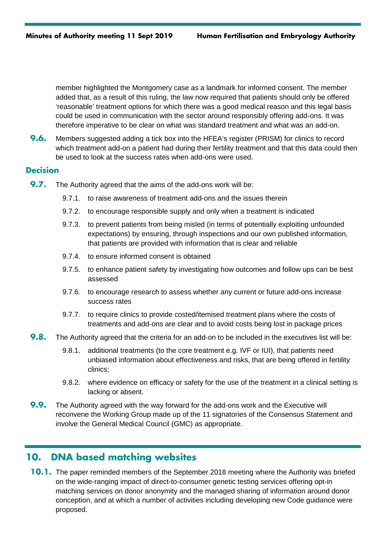member highlighted the Montgomery case as a landmark for informed consent. The member added that, as a result of this ruling, the law now required that patients should only be offered 'reasonable' treatment options for which there was a good medical reason and this legal basis could be used in communication with the sector around responsibly offering add-ons. It was therefore imperative to be clear on what was standard treatment and what was an add-on.

**9.6.** Members suggested adding a tick box into the HFEA's register (PRISM) for clinics to record which treatment add-on a patient had during their fertility treatment and that this data could then be used to look at the success rates when add-ons were used.

#### **Decision**

- **9.7.** The Authority agreed that the aims of the add-ons work will be:
	- 9.7.1. to raise awareness of treatment add-ons and the issues therein
	- 9.7.2. to encourage responsible supply and only when a treatment is indicated
	- 9.7.3. to prevent patients from being misled (in terms of potentially exploiting unfounded expectations) by ensuring, through inspections and our own published information, that patients are provided with information that is clear and reliable
	- 9.7.4. to ensure informed consent is obtained
	- 9.7.5. to enhance patient safety by investigating how outcomes and follow ups can be best assessed
	- 9.7.6. to encourage research to assess whether any current or future add-ons increase success rates
	- 9.7.7. to require clinics to provide costed/itemised treatment plans where the costs of treatments and add-ons are clear and to avoid costs being lost in package prices
- **9.8.** The Authority agreed that the criteria for an add-on to be included in the executives list will be:
	- 9.8.1. additional treatments (to the core treatment e.g. IVF or IUI), that patients need unbiased information about effectiveness and risks, that are being offered in fertility clinics;
	- 9.8.2. where evidence on efficacy or safety for the use of the treatment in a clinical setting is lacking or absent.
- **9.9.** The Authority agreed with the way forward for the add-ons work and the Executive will reconvene the Working Group made up of the 11 signatories of the Consensus Statement and involve the General Medical Council (GMC) as appropriate.

# **10. DNA based matching websites**

**10.1.** The paper reminded members of the September 2018 meeting where the Authority was briefed on the wide-ranging impact of direct-to-consumer genetic testing services offering opt-in matching services on donor anonymity and the managed sharing of information around donor conception, and at which a number of activities including developing new Code guidance were proposed.